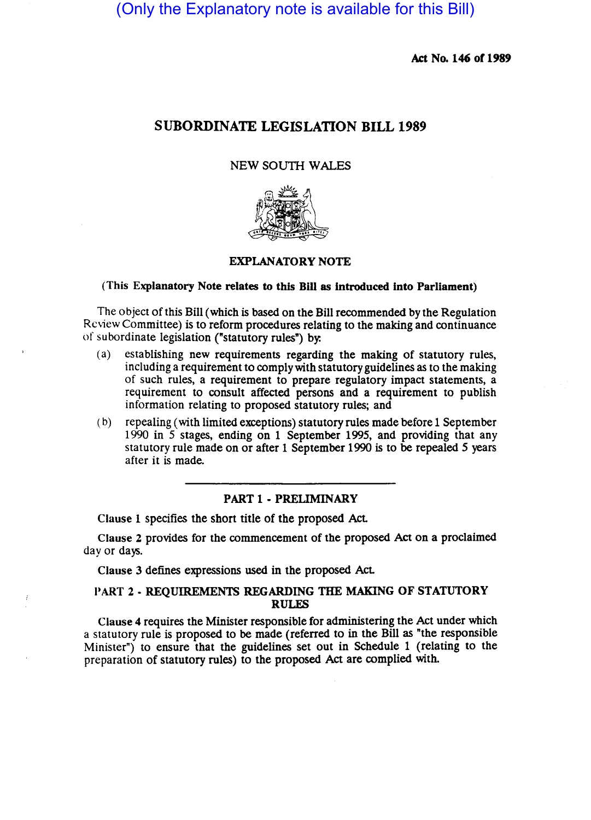(Only the Explanatory note is available for this Bill)

Act No. 146 of 1989

# SUBORDINATE LEGISLATION BILL 1989

### NEW SOUTH WALES



### EXPLANATORY NOTE

### (This Explanatory Note relates to this Bill as Introduced into Parliament)

The object of this Bill (which is based on the Bill recommended by the Regulation Review Committee) is to reform procedures relating to the making and continuance of subordinate legislation ("statutory rules") by:

- (a) establishing new requirements regarding the making of statutory rules, including a requirement to comply with statutory guidelines as to the making of such rules, a requirement to prepare regulatory impact statements, a requirement to consult affected persons and a requirement to publish information relating to proposed statutory rules; and
- (b) repealing (with limited exceptions) statutory rules made before 1 September 1990 in 5 stages, ending on 1 September 1995, and providing that any statutory rule made on or after 1 September 1990 is to be repealed 5 years after it is made.

### PART 1 - PRELIMINARY

Clause 1 specifies the short title of the proposed Act.

Clause 2 provides for the commencement of the proposed Act on a proclaimed day or days.

Clause 3 defines expressions used in the proposed Act.

## PART 2 - REQUIREMENTS REGARDING THE MAKING OF STATUTORY RULES

Clause 4 requires the Minister responsible for administering the Act under which a statutory rule is proposed to be made (referred to in the Bill as "the responsible Minister") to ensure that the guidelines set out in Schedule 1 (relating to the preparation of statutory rules) to the proposed Act are complied with.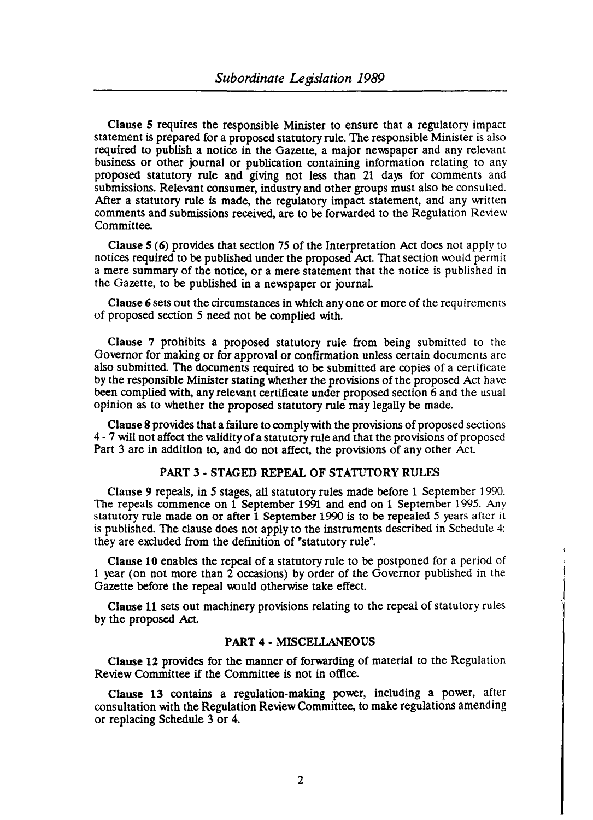Clause 5 requires the responsible Minister to ensure that a regulatory impact statement is prepared for a proposed statutory rule. The responsible Minister is also required to publish a notice in the Gazette, a major newspaper and any relevant business or other journal or publication containing information relating to any proposed statutory rule and giving not less than 21 days for comments and submissions. Relevant consumer, industry and other groups must also be consulted. After a statutory rule is made, the regulatory impact statement, and any written comments and submissions received, are to be forwarded to the Regulation Review Committee.

Clause 5 (6) provides that section 75 of the Interpretation Act does not apply to notices required to be published under the proposed Act. That section would permit a mere summary of the notice, or a mere statement that the notice is published in the Gazette, to be published in a newspaper or journal.

Clause 6 sets out the circumstances in which any one or more of the requirements of proposed section 5 need not be complied with.

Clause 7 prohibits a proposed statutory rule from being submitted to the Governor for making or for approval or confirmation unless certain documents arc also submitted. The documents required to be submitted are copies of a certificate by the responsible Minister stating whether the provisions of the proposed Act ha ve been complied with, any relevant certificate under proposed section 6 and the usual opinion as to whether the proposed statutory rule may legally be made.

Clause 8 provides that a failure to comply with the provisions of proposed sections 4 - 7 will not affect the validity of a statutory rule and that the provisions of proposed Part 3 are in addition to, and do not affect, the provisions of any other Act.

#### PART 3 - STAGED REPEAL OF STATUTORY RULES

Clause 9 repeals, in 5 stages, all statutory rules made before 1 September 1990. The repeals commence on 1 September 1991 and end on 1 September 1995. Any statutory rule made on or after 1 September 1990 is to be repealed 5 years after it is published. The clause does not apply to the instruments described in Schedule 4: they are excluded from the definition of "statutory rule".

Clause 10 enables the repeal of a statutory rule to be postponed for a period of 1 year (on not more than 2 occasions) by order of the Governor published in the Gazette before the repeal would otherwise take effect.

Clause 11 sets out machinery provisions relating to the repeal of statutory rules by the proposed Act

#### PART 4 - MISCELLANEOUS

Clause 12 provides for the manner of forwarding of material to the Regulation Review Committee if the Committee is not in office.

Clause 13 contains a regulation-making power, including a power, after consultation with the Regulation Review Committee, to make regulations amending or replacing Schedule 3 or 4.